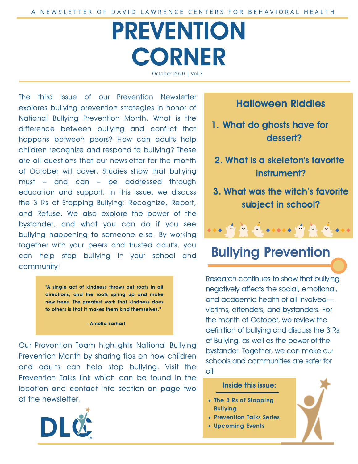# PREVENTION **CORNER** October 2020 | Vol.3

The third issue of our Prevention Newsletter explores bullying prevention strategies in honor of National Bullying Prevention Month. What is the difference between bullying and conflict that happens between peers? How can adults help children recognize and respond to bullying? These are all questions that our newsletter for the month of October will cover. Studies show that bullying must – and can – be addressed through education and support. In this issue, we discuss the 3 Rs of Stopping Bullying: Recognize, Report, and Refuse. We also explore the power of the bystander, and what you can do if you see bullying happening to someone else. By working together with your peers and trusted adults, you can help stop bullying in your school and community!

> "A single act of kindness throws out roots in all directions, and the roots spring up and make new trees. The greatest work that kindness does to others is that it makes them kind themselves."

> > - Amelia Earhart

Our Prevention Team highlights National Bullying Prevention Month by sharing tips on how children and adults can help stop bullying. Visit the Prevention Talks link which can be found in the location and contact info section on page two of the newsletter.



### Halloween Riddles

- 1. What do ghosts have for dessert?
- 2. What is a skeleton's favorite instrument?
- 3. What was the witch's favorite subject in school?



## Bullying Prevention

Research continues to show that bullying negatively affects the social, emotional, and academic health of all involved victims, offenders, and bystanders. For the month of October, we review the definition of bullying and discuss the 3 Rs of Bullying, as well as the power of the bystander. Together, we can make our schools and communities are safer for all!

#### Inside this issue:

- The 3 Rs of Stopping **Bullying**
- Prevention Talks Series
- Upcoming Events